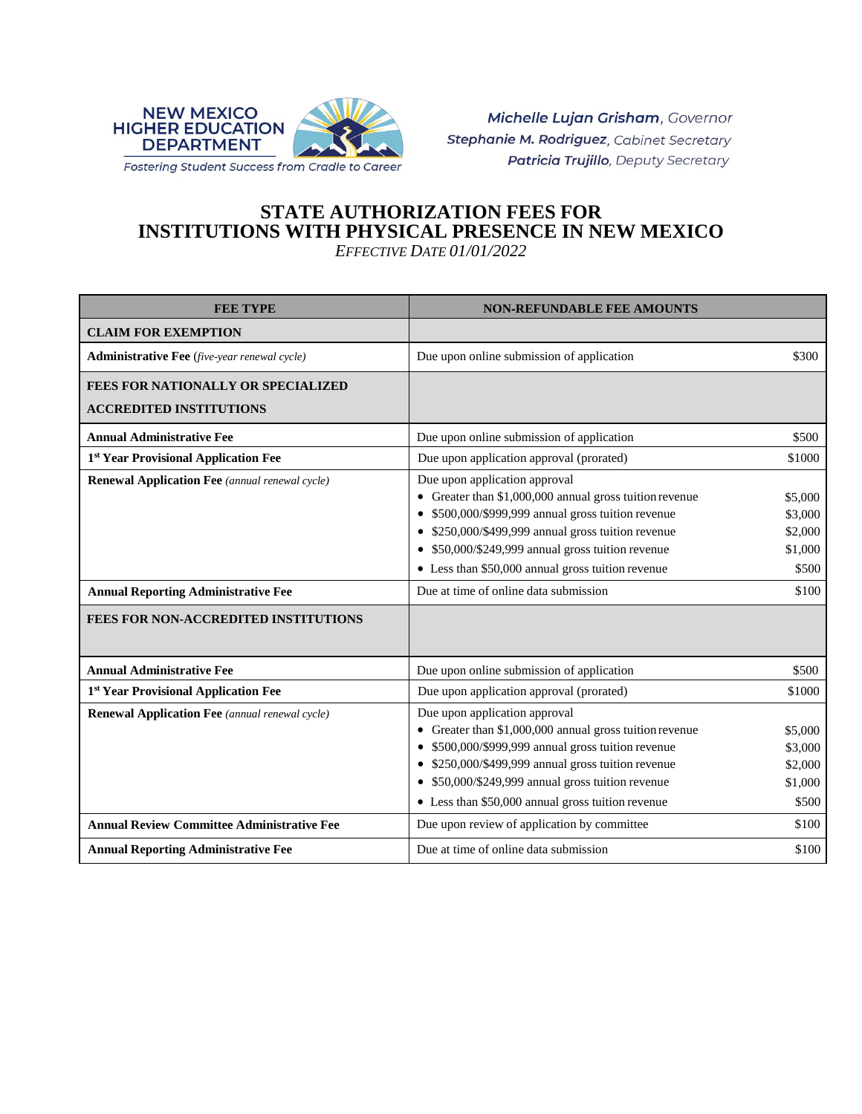

Michelle Lujan Grisham, Governor Stephanie M. Rodriguez, Cabinet Secretary Patricia Trujillo, Deputy Secretary

## **STATE AUTHORIZATION FEES FOR INSTITUTIONS WITH PHYSICAL PRESENCE IN NEW MEXICO** *EFFECTIVE DATE 01/01/2022*

| <b>FEE TYPE</b>                                                                                                                             | <b>NON-REFUNDABLE FEE AMOUNTS</b>                                                                                                                                                                                                                                                                                                                     |                                                            |
|---------------------------------------------------------------------------------------------------------------------------------------------|-------------------------------------------------------------------------------------------------------------------------------------------------------------------------------------------------------------------------------------------------------------------------------------------------------------------------------------------------------|------------------------------------------------------------|
| <b>CLAIM FOR EXEMPTION</b>                                                                                                                  |                                                                                                                                                                                                                                                                                                                                                       |                                                            |
| <b>Administrative Fee</b> (five-year renewal cycle)                                                                                         | Due upon online submission of application                                                                                                                                                                                                                                                                                                             | \$300                                                      |
| FEES FOR NATIONALLY OR SPECIALIZED                                                                                                          |                                                                                                                                                                                                                                                                                                                                                       |                                                            |
| <b>ACCREDITED INSTITUTIONS</b>                                                                                                              |                                                                                                                                                                                                                                                                                                                                                       |                                                            |
| <b>Annual Administrative Fee</b>                                                                                                            | Due upon online submission of application                                                                                                                                                                                                                                                                                                             | \$500                                                      |
| 1st Year Provisional Application Fee                                                                                                        | Due upon application approval (prorated)                                                                                                                                                                                                                                                                                                              | \$1000                                                     |
| <b>Renewal Application Fee</b> (annual renewal cycle)<br><b>Annual Reporting Administrative Fee</b><br>FEES FOR NON-ACCREDITED INSTITUTIONS | Due upon application approval<br>• Greater than \$1,000,000 annual gross tuition revenue<br>\$500,000/\$999,999 annual gross tuition revenue<br>• \$250,000/\$499,999 annual gross tuition revenue<br>• \$50,000/\$249,999 annual gross tuition revenue<br>• Less than \$50,000 annual gross tuition revenue<br>Due at time of online data submission | \$5,000<br>\$3,000<br>\$2,000<br>\$1,000<br>\$500<br>\$100 |
| <b>Annual Administrative Fee</b>                                                                                                            | Due upon online submission of application                                                                                                                                                                                                                                                                                                             | \$500                                                      |
| 1st Year Provisional Application Fee                                                                                                        | Due upon application approval (prorated)                                                                                                                                                                                                                                                                                                              | \$1000                                                     |
| <b>Renewal Application Fee</b> (annual renewal cycle)                                                                                       | Due upon application approval<br>• Greater than \$1,000,000 annual gross tuition revenue<br>\$500,000/\$999,999 annual gross tuition revenue<br>• \$250,000/\$499,999 annual gross tuition revenue<br>• \$50,000/\$249,999 annual gross tuition revenue<br>• Less than \$50,000 annual gross tuition revenue                                          | \$5,000<br>\$3,000<br>\$2,000<br>\$1,000<br>\$500          |
| <b>Annual Review Committee Administrative Fee</b>                                                                                           | Due upon review of application by committee                                                                                                                                                                                                                                                                                                           | \$100                                                      |
| <b>Annual Reporting Administrative Fee</b>                                                                                                  | Due at time of online data submission                                                                                                                                                                                                                                                                                                                 | \$100                                                      |